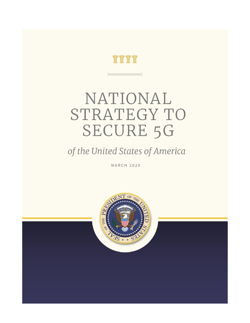

# NATIONAL STRATEGY TO **SECURE 5G**

### of the United States of America

**MARCH 2020** 

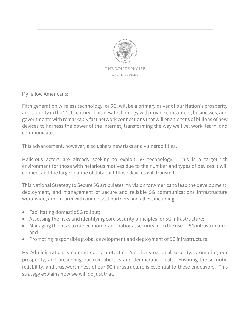

My fellow Americans:

Fifth generation wireless technology, or 5G, will be a primary driver of our Nation's prosperity and security in the 21st century. This new technology will provide consumers, businesses, and governments with remarkably fast network connections that will enable tens of billions of new devices to harness the power of the Internet, transforming the way we live, work, learn, and communicate.

This advancement, however, also ushers new risks and vulnerabilities.

Malicious actors are already seeking to exploit 5G technology. This is a target-rich environment for those with nefarious motives due to the number and types of devices it will connect and the large volume of data that those devices will transmit.

This National Strategy to Secure 5G articulates my vision for America to lead the development, deployment, and management of secure and reliable 5G communications infrastructure worldwide, arm-in-arm with our closest partners and allies, including:

- Facilitating domestic 5G rollout;
- Assessing the risks and identifying core security principles for 5G infrastructure;
- Managing the risks to our economic and national security from the use of 5G infrastructure; and
- Promoting responsible global development and deployment of 5G infrastructure.

My Administration is committed to protecting America's national security, promoting our prosperity, and preserving our civil liberties and democratic ideals. Ensuring the security, reliability, and trustworthiness of our 5G infrastructure is essential to these endeavors. This strategy explains how we will do just that.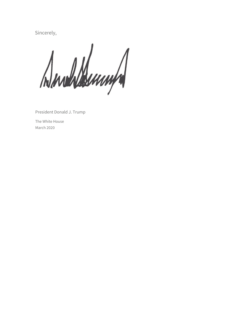Sincerely,

Dundermund

President Donald J. Trump

The White House March 2020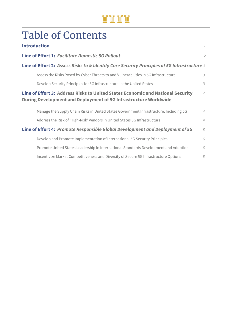### <u>Tirm</u>

## Table of Contents

|                                                                               | <b>Introduction</b>                                                                                                                                                   | 1              |  |  |
|-------------------------------------------------------------------------------|-----------------------------------------------------------------------------------------------------------------------------------------------------------------------|----------------|--|--|
|                                                                               | <b>Line of Effort 1: Facilitate Domestic 5G Rollout</b>                                                                                                               | $\overline{2}$ |  |  |
|                                                                               | Line of Effort 2: Assess Risks to & Identify Core Security Principles of 5G Infrastructure 3                                                                          |                |  |  |
|                                                                               | Assess the Risks Posed by Cyber Threats to and Vulnerabilities in 5G Infrastructure                                                                                   | $\mathcal{E}$  |  |  |
|                                                                               | Develop Security Principles for 5G Infrastructure in the United States                                                                                                | 3              |  |  |
|                                                                               | Line of Effort 3: Address Risks to United States Economic and National Security<br>$\overline{4}$<br>During Development and Deployment of 5G Infrastructure Worldwide |                |  |  |
|                                                                               | Manage the Supply Chain Risks in United States Government Infrastructure, Including 5G                                                                                | $\overline{4}$ |  |  |
|                                                                               | Address the Risk of 'High-Risk' Vendors in United States 5G Infrastructure                                                                                            | $\overline{4}$ |  |  |
| Line of Effort 4: Promote Responsible Global Development and Deployment of 5G |                                                                                                                                                                       | 6              |  |  |
|                                                                               | Develop and Promote Implementation of International 5G Security Principles                                                                                            | 6              |  |  |
|                                                                               | Promote United States Leadership in International Standards Development and Adoption                                                                                  | 6              |  |  |
|                                                                               | Incentivize Market Competitiveness and Diversity of Secure 5G Infrastructure Options                                                                                  | 6              |  |  |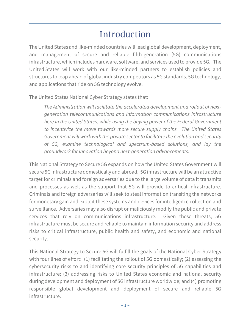### Introduction

The United States and like-minded countries will lead global development, deployment, and management of secure and reliable fifth-generation (5G) communications infrastructure, which includes hardware, software, and services used to provide 5G. The United States will work with our like-minded partners to establish policies and structures to leap ahead of global industry competitors as 5G standards, 5G technology, and applications that ride on 5G technology evolve.

The United States National Cyber Strategy states that:

*The Administration will facilitate the accelerated development and rollout of nextgeneration telecommunications and information communications infrastructure here in the United States, while using the buying power of the Federal Government to incentivize the move towards more secure supply chains. The United States Government will work with the private sector to facilitate the evolution and security of 5G, examine technological and spectrum-based solutions, and lay the groundwork for innovation beyond next-generation advancements.*

This National Strategy to Secure 5G expands on how the United States Government will secure 5G infrastructure domestically and abroad. 5G infrastructure will be an attractive target for criminals and foreign adversaries due to the large volume of data it transmits and processes as well as the support that 5G will provide to critical infrastructure. Criminals and foreign adversaries will seek to steal information transiting the networks for monetary gain and exploit these systems and devices for intelligence collection and surveillance. Adversaries may also disrupt or maliciously modify the public and private services that rely on communications infrastructure. Given these threats, 5G infrastructure must be secure and reliable to maintain information security and address risks to critical infrastructure, public health and safety, and economic and national security.

This National Strategy to Secure 5G will fulfill the goals of the National Cyber Strategy with four lines of effort: (1) facilitating the rollout of 5G domestically; (2) assessing the cybersecurity risks to and identifying core security principles of 5G capabilities and infrastructure; (3) addressing risks to United States economic and national security during development and deployment of 5G infrastructure worldwide; and (4) promoting responsible global development and deployment of secure and reliable 5G infrastructure.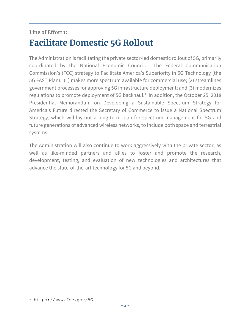### **Line of Effort 1: Facilitate Domestic 5G Rollout**

The Administration is facilitating the private sector-led domestic rollout of 5G, primarily coordinated by the National Economic Council. The Federal Communication Commission's (FCC) strategy to Facilitate America's Superiority in 5G Technology (the 5G FAST Plan): (1) makes more spectrum available for commercial use; (2) streamlines government processes for approving 5G infrastructure deployment; and (3) modernizes regulations to promote deployment of 5G backhaul. $1$  In addition, the October 25, 2018 Presidential Memorandum on Developing a Sustainable Spectrum Strategy for America's Future directed the Secretary of Commerce to issue a National Spectrum Strategy, which will lay out a long-term plan for spectrum management for 5G and future generations of advanced wireless networks, to include both space and terrestrial systems.

The Administration will also continue to work aggressively with the private sector, as well as like-minded partners and allies to foster and promote the research, development, testing, and evaluation of new technologies and architectures that advance the state-of-the-art technology for 5G and beyond.

 $\overline{a}$ 

<sup>1</sup> https://www.fcc.gov/5G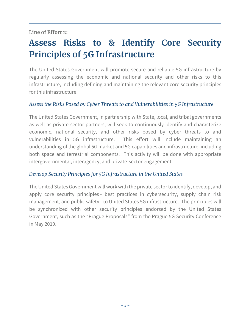#### **Line of Effort 2:**

### **Assess Risks to & Identify Core Security Principles of 5G Infrastructure**

The United States Government will promote secure and reliable 5G infrastructure by regularly assessing the economic and national security and other risks to this infrastructure, including defining and maintaining the relevant core security principles for this infrastructure.

#### *Assess the Risks Posed by Cyber Threats to and Vulnerabilities in 5G Infrastructure*

The United States Government, in partnership with State, local, and tribal governments as well as private sector partners, will seek to continuously identify and characterize economic, national security, and other risks posed by cyber threats to and vulnerabilities in 5G infrastructure. This effort will include maintaining an understanding of the global 5G market and 5G capabilities and infrastructure, including both space and terrestrial components. This activity will be done with appropriate intergovernmental, interagency, and private-sector engagement.

#### *Develop Security Principles for 5G Infrastructure in the United States*

The United States Government will work with the private sector to identify, develop, and apply core security principles - best practices in cybersecurity, supply chain risk management, and public safety - to United States 5G infrastructure. The principles will be synchronized with other security principles endorsed by the United States Government, such as the "Prague Proposals" from the Prague 5G Security Conference in May 2019.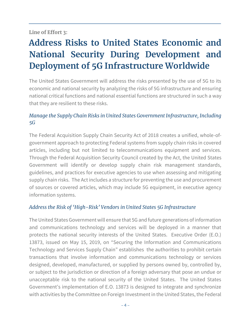#### **Line of Effort 3:**

### **Address Risks to United States Economic and National Security During Development and Deployment of 5G Infrastructure Worldwide**

The United States Government will address the risks presented by the use of 5G to its economic and national security by analyzing the risks of 5G infrastructure and ensuring national critical functions and national essential functions are structured in such a way that they are resilient to these risks.

#### *Manage the Supply Chain Risks in United States Government Infrastructure, Including 5G*

The Federal Acquisition Supply Chain Security Act of 2018 creates a unified, whole-ofgovernment approach to protecting Federal systems from supply chain risks in covered articles, including but not limited to telecommunications equipment and services. Through the Federal Acquisition Security Council created by the Act, the United States Government will identify or develop supply chain risk management standards, guidelines, and practices for executive agencies to use when assessing and mitigating supply chain risks. The Act includes a structure for preventing the use and procurement of sources or covered articles, which may include 5G equipment, in executive agency information systems.

#### *Address the Risk of 'High-Risk' Vendors in United States 5G Infrastructure*

The United States Government will ensure that 5G and future generations of information and communications technology and services will be deployed in a manner that protects the national security interests of the United States. Executive Order (E.O.) 13873, issued on May 15, 2019, on "Securing the Information and Communications Technology and Services Supply Chain" establishes the authorities to prohibit certain transactions that involve information and communications technology or services designed, developed, manufactured, or supplied by persons owned by, controlled by, or subject to the jurisdiction or direction of a foreign adversary that pose an undue or unacceptable risk to the national security of the United States. The United States Government's implementation of E.O. 13873 is designed to integrate and synchronize with activities by the Committee on Foreign Investment in the United States, the Federal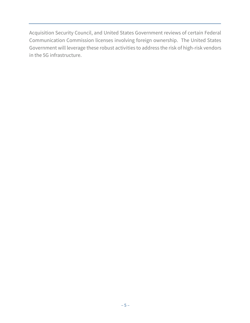Acquisition Security Council, and United States Government reviews of certain Federal Communication Commission licenses involving foreign ownership. The United States Government will leverage these robust activities to address the risk of high-risk vendors in the 5G infrastructure.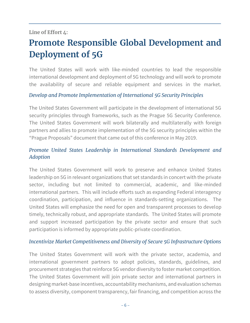#### **Line of Effort 4:**

### **Promote Responsible Global Development and Deployment of 5G**

The United States will work with like-minded countries to lead the responsible international development and deployment of 5G technology and will work to promote the availability of secure and reliable equipment and services in the market.

#### *Develop and Promote Implementation of International 5G Security Principles*

The United States Government will participate in the development of international 5G security principles through frameworks, such as the Prague 5G Security Conference. The United States Government will work bilaterally and multilaterally with foreign partners and allies to promote implementation of the 5G security principles within the "Prague Proposals" document that came out of this conference in May 2019.

#### *Promote United States Leadership in International Standards Development and Adoption*

The United States Government will work to preserve and enhance United States leadership on 5G in relevant organizations that set standards in concert with the private sector, including but not limited to commercial, academic, and like-minded international partners. This will include efforts such as expanding Federal interagency coordination, participation, and influence in standards-setting organizations. The United States will emphasize the need for open and transparent processes to develop timely, technically robust, and appropriate standards. The United States will promote and support increased participation by the private sector and ensure that such participation is informed by appropriate public-private coordination.

#### *Incentivize Market Competitiveness and Diversity of Secure 5G Infrastructure Options*

The United States Government will work with the private sector, academia, and international government partners to adopt policies, standards, guidelines, and procurement strategies that reinforce 5G vendor diversity to foster market competition. The United States Government will join private sector and international partners in designing market-base incentives, accountability mechanisms, and evaluation schemas to assess diversity, component transparency, fair financing, and competition across the